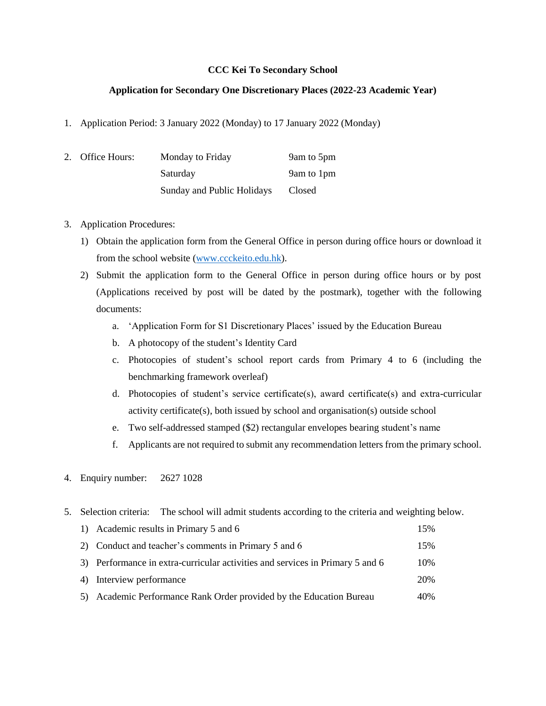## **CCC Kei To Secondary School**

## **Application for Secondary One Discretionary Places (2022-23 Academic Year)**

1. Application Period: 3 January 2022 (Monday) to 17 January 2022 (Monday)

| 2. Office Hours: | Monday to Friday           | 9am to 5pm |
|------------------|----------------------------|------------|
|                  | Saturday                   | 9am to 1pm |
|                  | Sunday and Public Holidays | Closed     |

## 3. Application Procedures:

- 1) Obtain the application form from the General Office in person during office hours or download it from the school website [\(www.ccckeito.edu.hk\)](http://www.ccckeito.edu.hk/).
- 2) Submit the application form to the General Office in person during office hours or by post (Applications received by post will be dated by the postmark), together with the following documents:
	- a. 'Application Form for S1 Discretionary Places' issued by the Education Bureau
	- b. A photocopy of the student's Identity Card
	- c. Photocopies of student's school report cards from Primary 4 to 6 (including the benchmarking framework overleaf)
	- d. Photocopies of student's service certificate(s), award certificate(s) and extra-curricular activity certificate(s), both issued by school and organisation(s) outside school
	- e. Two self-addressed stamped (\$2) rectangular envelopes bearing student's name
	- f. Applicants are not required to submit any recommendation letters from the primary school.
- 4. Enquiry number: 2627 1028
- 5. Selection criteria: The school will admit students according to the criteria and weighting below.

| 1) Academic results in Primary 5 and 6                                        | 15% |
|-------------------------------------------------------------------------------|-----|
| 2) Conduct and teacher's comments in Primary 5 and 6                          | 15% |
| 3) Performance in extra-curricular activities and services in Primary 5 and 6 | 10% |
| 4) Interview performance                                                      | 20% |
| Academic Performance Rank Order provided by the Education Bureau              | 40% |